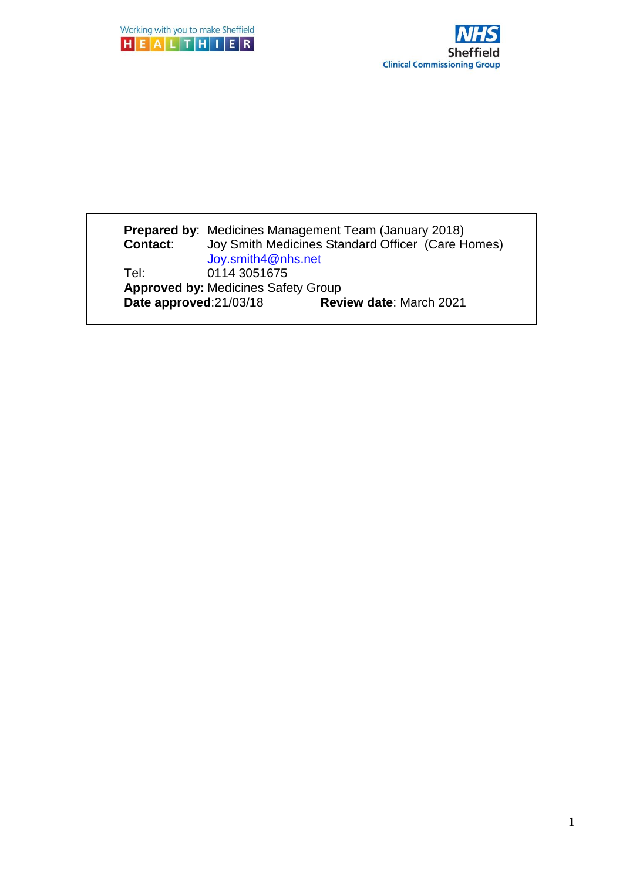



#### **Prepared by**: Medicines Management Team (January 2018) **Contact**: Joy Smith Medicines Standard Officer (Care Homes) [Joy.smith4@nhs.net](mailto:Joy.smith4@nhs.net) Tel: 0114 3051675 **Approved by: Medicines Safety Group<br>
<b>Date approved:** 21/03/18 **Review date: March 2021 Date approved:21/03/18**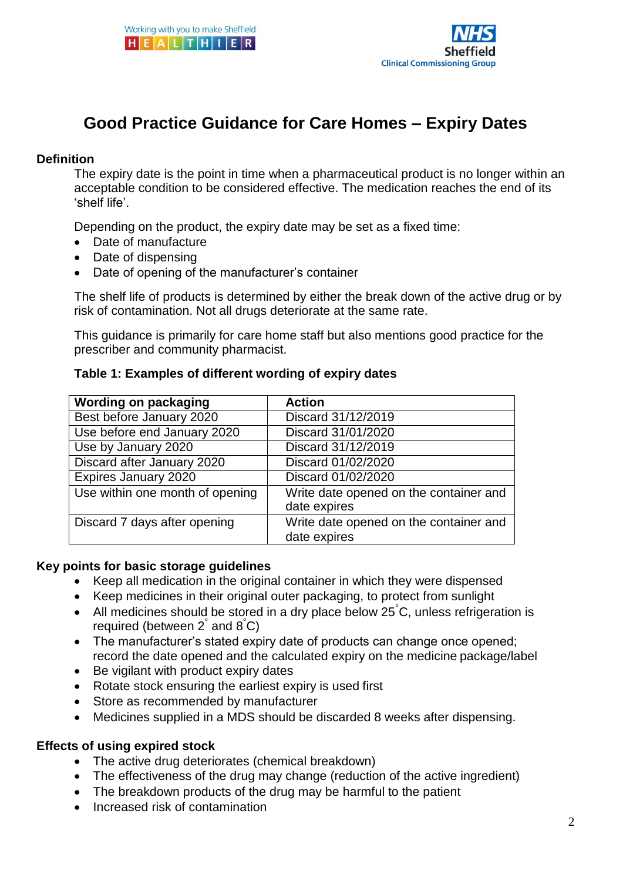

# **Good Practice Guidance for Care Homes – Expiry Dates**

#### **Definition**

The expiry date is the point in time when a pharmaceutical product is no longer within an acceptable condition to be considered effective. The medication reaches the end of its 'shelf life'.

Depending on the product, the expiry date may be set as a fixed time:

- Date of manufacture
- Date of dispensing
- Date of opening of the manufacturer's container

The shelf life of products is determined by either the break down of the active drug or by risk of contamination. Not all drugs deteriorate at the same rate.

This guidance is primarily for care home staff but also mentions good practice for the prescriber and community pharmacist.

#### **Table 1: Examples of different wording of expiry dates**

| <b>Wording on packaging</b>     | <b>Action</b>                                          |
|---------------------------------|--------------------------------------------------------|
| Best before January 2020        | Discard 31/12/2019                                     |
| Use before end January 2020     | Discard 31/01/2020                                     |
| Use by January 2020             | Discard 31/12/2019                                     |
| Discard after January 2020      | Discard 01/02/2020                                     |
| <b>Expires January 2020</b>     | Discard 01/02/2020                                     |
| Use within one month of opening | Write date opened on the container and<br>date expires |
| Discard 7 days after opening    | Write date opened on the container and<br>date expires |

#### **Key points for basic storage guidelines**

- Keep all medication in the original container in which they were dispensed
- Keep medicines in their original outer packaging, to protect from sunlight
- All medicines should be stored in a dry place below  $25^{\circ}$ C, unless refrigeration is required (between  $2^{\degree}$  and  $8^{\degree}$ C)
- The manufacturer's stated expiry date of products can change once opened; record the date opened and the calculated expiry on the medicine package/label
- Be vigilant with product expiry dates
- Rotate stock ensuring the earliest expiry is used first
- Store as recommended by manufacturer
- Medicines supplied in a MDS should be discarded 8 weeks after dispensing.

#### **Effects of using expired stock**

- The active drug deteriorates (chemical breakdown)
- The effectiveness of the drug may change (reduction of the active ingredient)
- The breakdown products of the drug may be harmful to the patient
- Increased risk of contamination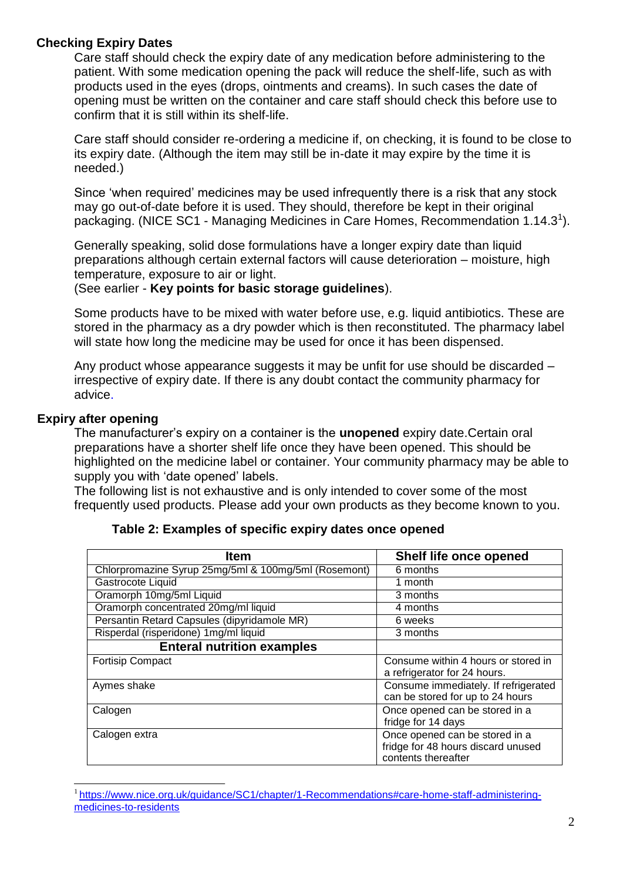#### **Checking Expiry Dates**

Care staff should check the expiry date of any medication before administering to the patient. With some medication opening the pack will reduce the shelf-life, such as with products used in the eyes (drops, ointments and creams). In such cases the date of opening must be written on the container and care staff should check this before use to confirm that it is still within its shelf-life.

Care staff should consider re-ordering a medicine if, on checking, it is found to be close to its expiry date. (Although the item may still be in-date it may expire by the time it is needed.)

Since 'when required' medicines may be used infrequently there is a risk that any stock may go out-of-date before it is used. They should, therefore be kept in their original packaging. (NICE SC1 - Managing Medicines in Care Homes, Recommendation 1.14.3<sup>1</sup>).

Generally speaking, solid dose formulations have a longer expiry date than liquid preparations although certain external factors will cause deterioration – moisture, high temperature, exposure to air or light.

(See earlier - **Key points for basic storage guidelines**).

Some products have to be mixed with water before use, e.g. liquid antibiotics. These are stored in the pharmacy as a dry powder which is then reconstituted. The pharmacy label will state how long the medicine may be used for once it has been dispensed.

Any product whose appearance suggests it may be unfit for use should be discarded – irrespective of expiry date. If there is any doubt contact the community pharmacy for advice.

#### **Expiry after opening**

The manufacturer's expiry on a container is the **unopened** expiry date.Certain oral preparations have a shorter shelf life once they have been opened. This should be highlighted on the medicine label or container. Your community pharmacy may be able to supply you with 'date opened' labels.

The following list is not exhaustive and is only intended to cover some of the most frequently used products. Please add your own products as they become known to you.

| <b>Item</b>                                          | Shelf life once opened                                                   |
|------------------------------------------------------|--------------------------------------------------------------------------|
| Chlorpromazine Syrup 25mg/5ml & 100mg/5ml (Rosemont) | 6 months                                                                 |
| Gastrocote Liquid                                    | 1 month                                                                  |
| Oramorph 10mg/5ml Liquid                             | 3 months                                                                 |
| Oramorph concentrated 20mg/ml liquid                 | 4 months                                                                 |
| Persantin Retard Capsules (dipyridamole MR)          | 6 weeks                                                                  |
| Risperdal (risperidone) 1mg/ml liquid                | 3 months                                                                 |
| <b>Enteral nutrition examples</b>                    |                                                                          |
| <b>Fortisip Compact</b>                              | Consume within 4 hours or stored in                                      |
|                                                      | a refrigerator for 24 hours.                                             |
| Aymes shake                                          | Consume immediately. If refrigerated<br>can be stored for up to 24 hours |
| Calogen                                              | Once opened can be stored in a                                           |
|                                                      | fridge for 14 days                                                       |
| Calogen extra                                        | Once opened can be stored in a                                           |
|                                                      | fridge for 48 hours discard unused                                       |
|                                                      | contents thereafter                                                      |

#### **Table 2: Examples of specific expiry dates once opened**

<sup>1</sup>[https://www.nice.org.uk/guidance/SC1/chapter/1-Recommendations#care-home-staff-administering](https://www.nice.org.uk/guidance/SC1/chapter/1-Recommendations#care-home-staff-administering-medicines-to-residents)[medicines-to-residents](https://www.nice.org.uk/guidance/SC1/chapter/1-Recommendations#care-home-staff-administering-medicines-to-residents)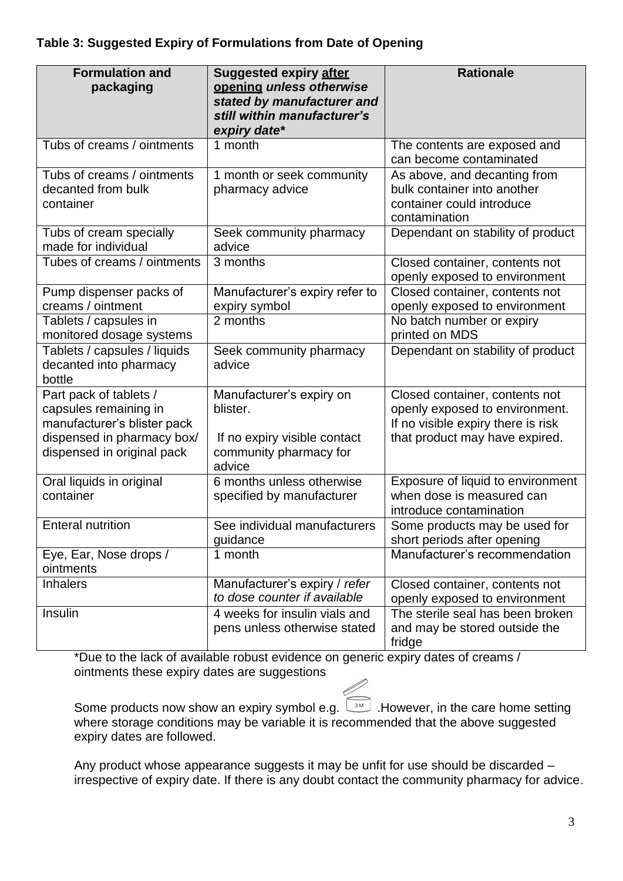| <b>Formulation and</b><br>packaging                                                                                                        | <b>Suggested expiry after</b><br>opening unless otherwise<br>stated by manufacturer and<br>still within manufacturer's<br>expiry date* | <b>Rationale</b>                                                                                                                         |
|--------------------------------------------------------------------------------------------------------------------------------------------|----------------------------------------------------------------------------------------------------------------------------------------|------------------------------------------------------------------------------------------------------------------------------------------|
| Tubs of creams / ointments                                                                                                                 | 1 month                                                                                                                                | The contents are exposed and<br>can become contaminated                                                                                  |
| Tubs of creams / ointments<br>decanted from bulk<br>container                                                                              | 1 month or seek community<br>pharmacy advice                                                                                           | As above, and decanting from<br>bulk container into another<br>container could introduce<br>contamination                                |
| Tubs of cream specially<br>made for individual                                                                                             | Seek community pharmacy<br>advice                                                                                                      | Dependant on stability of product                                                                                                        |
| Tubes of creams / ointments                                                                                                                | 3 months                                                                                                                               | Closed container, contents not<br>openly exposed to environment                                                                          |
| Pump dispenser packs of<br>creams / ointment                                                                                               | Manufacturer's expiry refer to<br>expiry symbol                                                                                        | Closed container, contents not<br>openly exposed to environment                                                                          |
| Tablets / capsules in<br>monitored dosage systems                                                                                          | 2 months                                                                                                                               | No batch number or expiry<br>printed on MDS                                                                                              |
| Tablets / capsules / liquids<br>decanted into pharmacy<br>bottle                                                                           | Seek community pharmacy<br>advice                                                                                                      | Dependant on stability of product                                                                                                        |
| Part pack of tablets /<br>capsules remaining in<br>manufacturer's blister pack<br>dispensed in pharmacy box/<br>dispensed in original pack | Manufacturer's expiry on<br>blister.<br>If no expiry visible contact<br>community pharmacy for<br>advice                               | Closed container, contents not<br>openly exposed to environment.<br>If no visible expiry there is risk<br>that product may have expired. |
| Oral liquids in original<br>container                                                                                                      | 6 months unless otherwise<br>specified by manufacturer                                                                                 | Exposure of liquid to environment<br>when dose is measured can<br>introduce contamination                                                |
| <b>Enteral nutrition</b>                                                                                                                   | See individual manufacturers<br>guidance                                                                                               | Some products may be used for<br>short periods after opening                                                                             |
| Eye, Ear, Nose drops /<br>ointments                                                                                                        | 1 month                                                                                                                                | Manufacturer's recommendation                                                                                                            |
| <b>Inhalers</b>                                                                                                                            | Manufacturer's expiry / refer<br>to dose counter if available                                                                          | Closed container, contents not<br>openly exposed to environment                                                                          |
| Insulin                                                                                                                                    | 4 weeks for insulin vials and<br>pens unless otherwise stated                                                                          | The sterile seal has been broken<br>and may be stored outside the<br>fridge                                                              |

\*Due to the lack of available robust evidence on generic expiry dates of creams / ointments these expiry dates are suggestions

Some products now show an expiry symbol e.g.  $\boxed{\phantom{a}^{\text{3M}}}$  . However, in the care home setting where storage conditions may be variable it is recommended that the above suggested expiry dates are followed.

Any product whose appearance suggests it may be unfit for use should be discarded – irrespective of expiry date. If there is any doubt contact the community pharmacy for advice.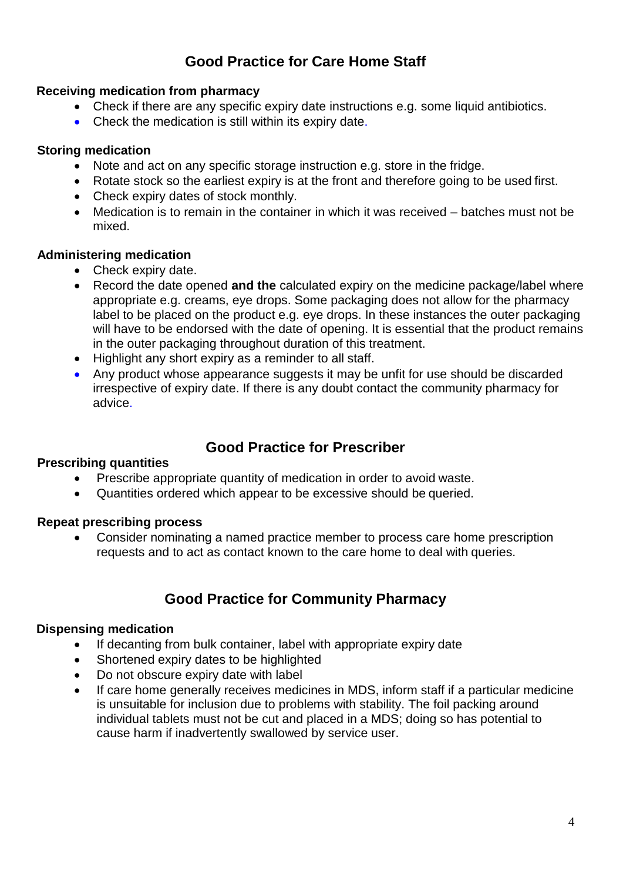## **Good Practice for Care Home Staff**

#### **Receiving medication from pharmacy**

- Check if there are any specific expiry date instructions e.g. some liquid antibiotics.
- Check the medication is still within its expiry date.

#### **Storing medication**

- Note and act on any specific storage instruction e.g. store in the fridge.
- Rotate stock so the earliest expiry is at the front and therefore going to be used first.
- Check expiry dates of stock monthly.
- Medication is to remain in the container in which it was received batches must not be mixed.

#### **Administering medication**

- Check expiry date.
- Record the date opened **and the** calculated expiry on the medicine package/label where appropriate e.g. creams, eye drops. Some packaging does not allow for the pharmacy label to be placed on the product e.g. eye drops. In these instances the outer packaging will have to be endorsed with the date of opening. It is essential that the product remains in the outer packaging throughout duration of this treatment.
- Highlight any short expiry as a reminder to all staff.
- Any product whose appearance suggests it may be unfit for use should be discarded irrespective of expiry date. If there is any doubt contact the community pharmacy for advice.

### **Good Practice for Prescriber**

#### **Prescribing quantities**

- Prescribe appropriate quantity of medication in order to avoid waste.
- Quantities ordered which appear to be excessive should be queried.

#### **Repeat prescribing process**

 Consider nominating a named practice member to process care home prescription requests and to act as contact known to the care home to deal with queries.

### **Good Practice for Community Pharmacy**

### **Dispensing medication**

- If decanting from bulk container, label with appropriate expiry date
- Shortened expiry dates to be highlighted
- Do not obscure expiry date with label
- If care home generally receives medicines in MDS, inform staff if a particular medicine is unsuitable for inclusion due to problems with stability. The foil packing around individual tablets must not be cut and placed in a MDS; doing so has potential to cause harm if inadvertently swallowed by service user.